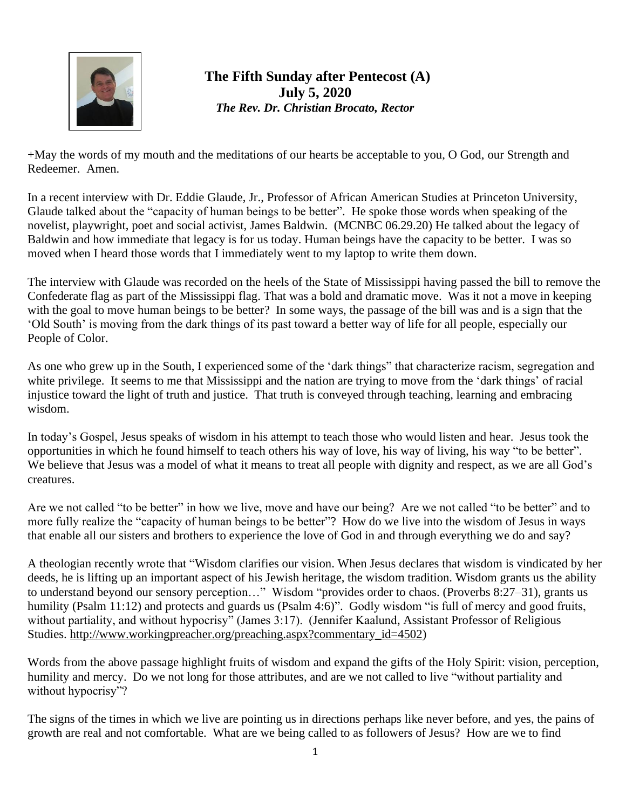

## **The Fifth Sunday after Pentecost (A) July 5, 2020** *The Rev. Dr. Christian Brocato, Rector*

+May the words of my mouth and the meditations of our hearts be acceptable to you, O God, our Strength and Redeemer. Amen.

In a recent interview with Dr. Eddie Glaude, Jr., Professor of African American Studies at Princeton University, Glaude talked about the "capacity of human beings to be better". He spoke those words when speaking of the novelist, playwright, poet and social activist, James Baldwin. (MCNBC 06.29.20) He talked about the legacy of Baldwin and how immediate that legacy is for us today. Human beings have the capacity to be better. I was so moved when I heard those words that I immediately went to my laptop to write them down.

The interview with Glaude was recorded on the heels of the State of Mississippi having passed the bill to remove the Confederate flag as part of the Mississippi flag. That was a bold and dramatic move. Was it not a move in keeping with the goal to move human beings to be better? In some ways, the passage of the bill was and is a sign that the 'Old South' is moving from the dark things of its past toward a better way of life for all people, especially our People of Color.

As one who grew up in the South, I experienced some of the 'dark things" that characterize racism, segregation and white privilege. It seems to me that Mississippi and the nation are trying to move from the 'dark things' of racial injustice toward the light of truth and justice. That truth is conveyed through teaching, learning and embracing wisdom.

In today's Gospel, Jesus speaks of wisdom in his attempt to teach those who would listen and hear. Jesus took the opportunities in which he found himself to teach others his way of love, his way of living, his way "to be better". We believe that Jesus was a model of what it means to treat all people with dignity and respect, as we are all God's creatures.

Are we not called "to be better" in how we live, move and have our being? Are we not called "to be better" and to more fully realize the "capacity of human beings to be better"? How do we live into the wisdom of Jesus in ways that enable all our sisters and brothers to experience the love of God in and through everything we do and say?

A theologian recently wrote that "Wisdom clarifies our vision. When Jesus declares that wisdom is vindicated by her deeds, he is lifting up an important aspect of his Jewish heritage, the wisdom tradition. Wisdom grants us the ability to understand beyond our sensory perception…" Wisdom "provides order to chaos. (Proverbs 8:27–31), grants us to humility (Psalm 11:12) and protects and guards us (Psalm 4:6)". Godly wisdom "is full of mercy and good fruits, without partiality, and without hypocrisy" (James 3:17). (Jennifer Kaalund, Assistant Professor of Religious Studies. [http://www.workingpreacher.org/preaching.aspx?commentary\\_id=4502\)](http://www.workingpreacher.org/preaching.aspx?commentary_id=4502)

Words from the above passage highlight fruits of wisdom and expand the gifts of the Holy Spirit: vision, perception, humility and mercy. Do we not long for those attributes, and are we not called to live "without partiality and without hypocrisy"?

The signs of the times in which we live are pointing us in directions perhaps like never before, and yes, the pains of growth are real and not comfortable. What are we being called to as followers of Jesus? How are we to find